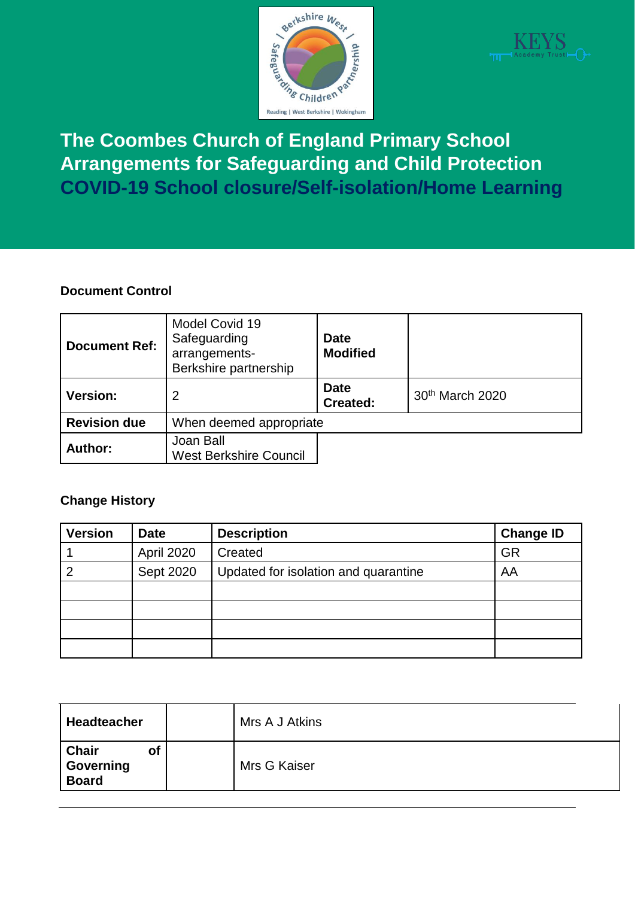



**The Coombes Church of England Primary School Arrangements for Safeguarding and Child Protection COVID-19 School closure/Self-isolation/Home Learning**

#### **Document Control**

| <b>Document Ref:</b> | Model Covid 19<br>Safeguarding<br><b>Date</b><br><b>Modified</b><br>arrangements-<br>Berkshire partnership |                                |                             |
|----------------------|------------------------------------------------------------------------------------------------------------|--------------------------------|-----------------------------|
| <b>Version:</b>      | 2                                                                                                          | <b>Date</b><br><b>Created:</b> | 30 <sup>th</sup> March 2020 |
| <b>Revision due</b>  | When deemed appropriate                                                                                    |                                |                             |
| Author:              | Joan Ball<br><b>West Berkshire Council</b>                                                                 |                                |                             |

#### **Change History**

| <b>Version</b> | <b>Date</b> | <b>Description</b>                   | <b>Change ID</b> |
|----------------|-------------|--------------------------------------|------------------|
|                | April 2020  | Created                              | <b>GR</b>        |
|                | Sept 2020   | Updated for isolation and quarantine | AA               |
|                |             |                                      |                  |
|                |             |                                      |                  |
|                |             |                                      |                  |
|                |             |                                      |                  |

| <b>Headteacher</b>                       | Mrs A J Atkins |  |
|------------------------------------------|----------------|--|
| <b>Chair</b><br>Οt<br>Governing<br>Board | Mrs G Kaiser   |  |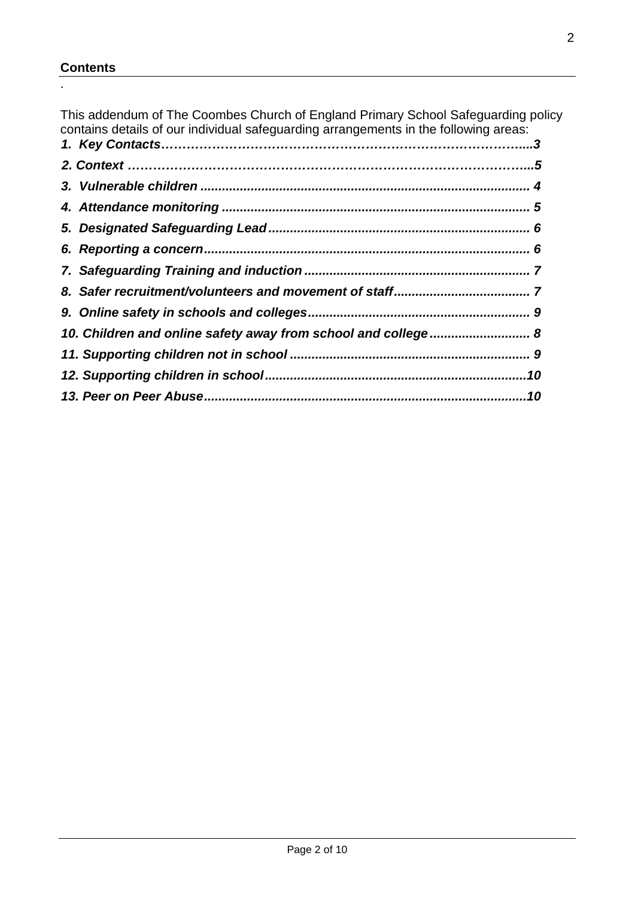#### **Contents**

.

This addendum of The Coombes Church of England Primary School Safeguarding policy contains details of our individual safeguarding arrangements in the following areas: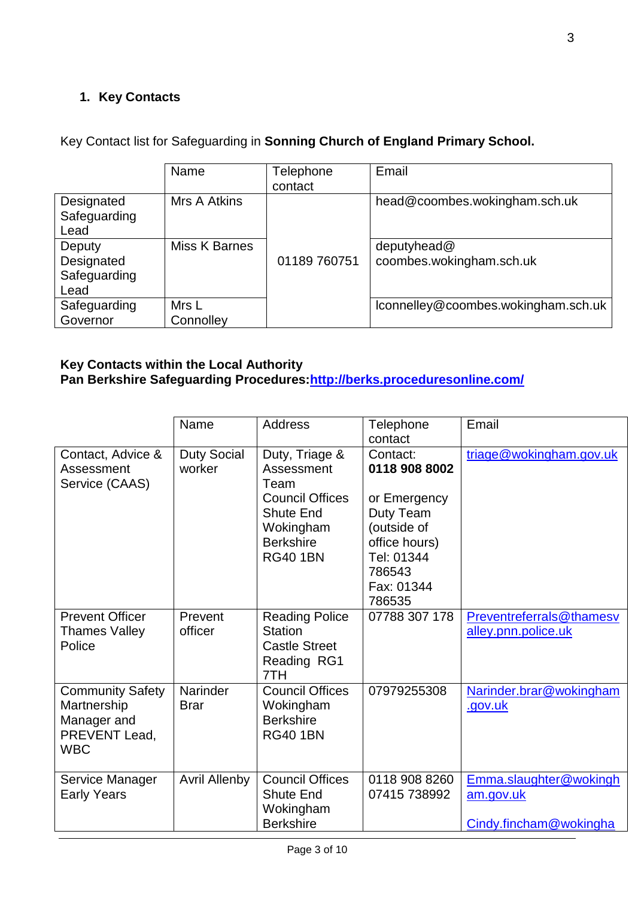# **1. Key Contacts**

|              | Name          | Telephone    | Email                               |
|--------------|---------------|--------------|-------------------------------------|
|              |               | contact      |                                     |
| Designated   | Mrs A Atkins  |              | head@coombes.wokingham.sch.uk       |
| Safeguarding |               |              |                                     |
| Lead         |               |              |                                     |
| Deputy       | Miss K Barnes |              | deputyhead@                         |
| Designated   |               | 01189 760751 | coombes.wokingham.sch.uk            |
| Safeguarding |               |              |                                     |
| Lead         |               |              |                                     |
| Safeguarding | Mrs L         |              | lconnelley@coombes.wokingham.sch.uk |
| Governor     | Connolley     |              |                                     |

# Key Contact list for Safeguarding in **Sonning Church of England Primary School.**

# **Key Contacts within the Local Authority**

| Pan Berkshire Safeguarding Procedures: http://berks.proceduresonline.com/ |
|---------------------------------------------------------------------------|
|                                                                           |

|                                                                                      | Name                         | <b>Address</b>                                                                                                                         | Telephone<br>contact                                                                                                                   | Email                                                         |
|--------------------------------------------------------------------------------------|------------------------------|----------------------------------------------------------------------------------------------------------------------------------------|----------------------------------------------------------------------------------------------------------------------------------------|---------------------------------------------------------------|
| Contact, Advice &<br>Assessment<br>Service (CAAS)                                    | <b>Duty Social</b><br>worker | Duty, Triage &<br>Assessment<br>Team<br><b>Council Offices</b><br><b>Shute End</b><br>Wokingham<br><b>Berkshire</b><br><b>RG40 1BN</b> | Contact:<br>0118 908 8002<br>or Emergency<br>Duty Team<br>(outside of<br>office hours)<br>Tel: 01344<br>786543<br>Fax: 01344<br>786535 | triage@wokingham.gov.uk                                       |
| <b>Prevent Officer</b><br><b>Thames Valley</b><br>Police                             | Prevent<br>officer           | <b>Reading Police</b><br><b>Station</b><br><b>Castle Street</b><br>Reading RG1<br>7TH                                                  | 07788 307 178                                                                                                                          | Preventreferrals@thamesv<br>alley.pnn.police.uk               |
| <b>Community Safety</b><br>Martnership<br>Manager and<br>PREVENT Lead,<br><b>WBC</b> | Narinder<br><b>Brar</b>      | <b>Council Offices</b><br>Wokingham<br><b>Berkshire</b><br><b>RG40 1BN</b>                                                             | 07979255308                                                                                                                            | Narinder.brar@wokingham<br>.gov.uk                            |
| Service Manager<br><b>Early Years</b>                                                | <b>Avril Allenby</b>         | <b>Council Offices</b><br><b>Shute End</b><br>Wokingham<br><b>Berkshire</b>                                                            | 0118 908 8260<br>07415 738992                                                                                                          | Emma.slaughter@wokingh<br>am.gov.uk<br>Cindy.fincham@wokingha |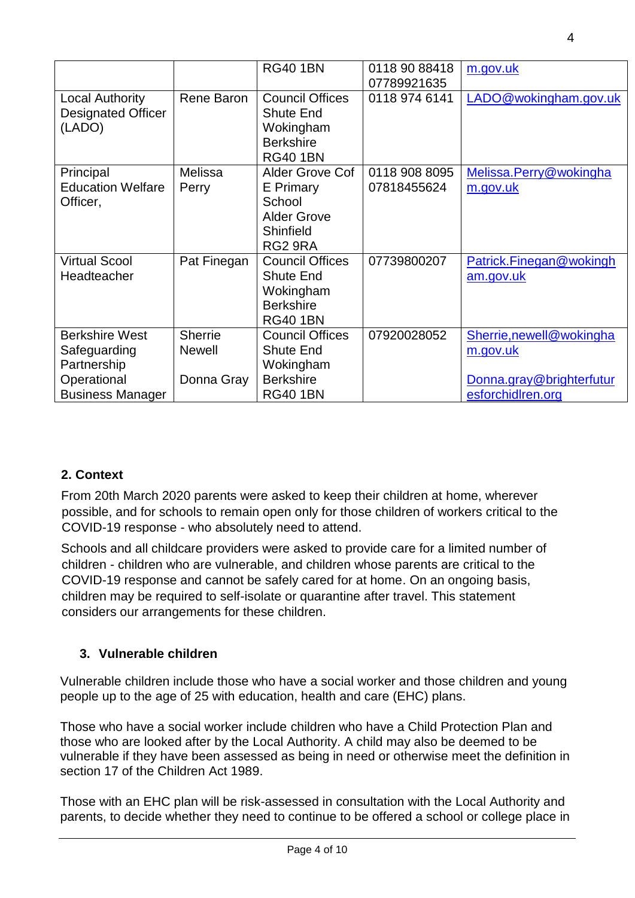|                           |                | <b>RG40 1BN</b>        | 0118 90 88418 | m.gov.uk                 |
|---------------------------|----------------|------------------------|---------------|--------------------------|
|                           |                |                        | 07789921635   |                          |
| <b>Local Authority</b>    | Rene Baron     | <b>Council Offices</b> | 0118 974 6141 | LADO@wokingham.gov.uk    |
| <b>Designated Officer</b> |                | <b>Shute End</b>       |               |                          |
| (LADO)                    |                | Wokingham              |               |                          |
|                           |                | <b>Berkshire</b>       |               |                          |
|                           |                | <b>RG40 1BN</b>        |               |                          |
| Principal                 | Melissa        | Alder Grove Cof        | 0118 908 8095 | Melissa.Perry@wokingha   |
| <b>Education Welfare</b>  | Perry          | E Primary              | 07818455624   | m.gov.uk                 |
| Officer,                  |                | School                 |               |                          |
|                           |                | <b>Alder Grove</b>     |               |                          |
|                           |                | Shinfield              |               |                          |
|                           |                | RG2 9RA                |               |                          |
| <b>Virtual Scool</b>      | Pat Finegan    | <b>Council Offices</b> | 07739800207   | Patrick.Finegan@wokingh  |
| Headteacher               |                | <b>Shute End</b>       |               | am.gov.uk                |
|                           |                | Wokingham              |               |                          |
|                           |                | <b>Berkshire</b>       |               |                          |
|                           |                | <b>RG40 1BN</b>        |               |                          |
| <b>Berkshire West</b>     | <b>Sherrie</b> | <b>Council Offices</b> | 07920028052   | Sherrie, newell@wokingha |
| Safeguarding              | <b>Newell</b>  | <b>Shute End</b>       |               | <u>m.gov.uk</u>          |
| Partnership               |                | Wokingham              |               |                          |
| Operational               | Donna Gray     | <b>Berkshire</b>       |               | Donna.gray@brighterfutur |
| <b>Business Manager</b>   |                | <b>RG40 1BN</b>        |               | esforchidlren.org        |

# **2. Context**

From 20th March 2020 parents were asked to keep their children at home, wherever possible, and for schools to remain open only for those children of workers critical to the COVID-19 response - who absolutely need to attend.

Schools and all childcare providers were asked to provide care for a limited number of children - children who are vulnerable, and children whose parents are critical to the COVID-19 response and cannot be safely cared for at home. On an ongoing basis, children may be required to self-isolate or quarantine after travel. This statement considers our arrangements for these children.

# <span id="page-3-0"></span>**3. Vulnerable children**

Vulnerable children include those who have a social worker and those children and young people up to the age of 25 with education, health and care (EHC) plans.

Those who have a social worker include children who have a Child Protection Plan and those who are looked after by the Local Authority. A child may also be deemed to be vulnerable if they have been assessed as being in need or otherwise meet the definition in section 17 of the Children Act 1989.

Those with an EHC plan will be risk-assessed in consultation with the Local Authority and parents, to decide whether they need to continue to be offered a school or college place in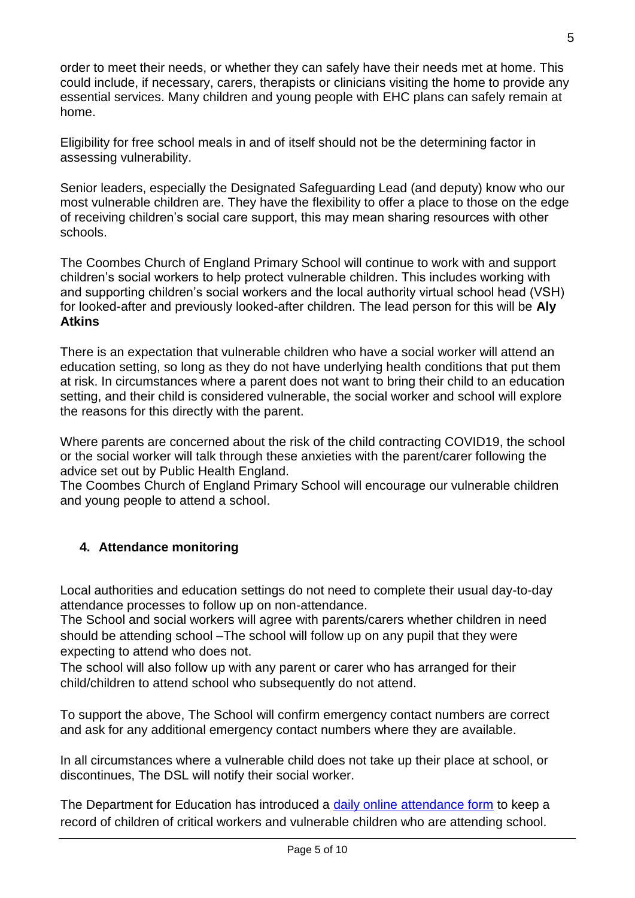order to meet their needs, or whether they can safely have their needs met at home. This could include, if necessary, carers, therapists or clinicians visiting the home to provide any essential services. Many children and young people with EHC plans can safely remain at home.

Eligibility for free school meals in and of itself should not be the determining factor in assessing vulnerability.

Senior leaders, especially the Designated Safeguarding Lead (and deputy) know who our most vulnerable children are. They have the flexibility to offer a place to those on the edge of receiving children's social care support, this may mean sharing resources with other schools.

The Coombes Church of England Primary School will continue to work with and support children's social workers to help protect vulnerable children. This includes working with and supporting children's social workers and the local authority virtual school head (VSH) for looked-after and previously looked-after children. The lead person for this will be **Aly Atkins**

There is an expectation that vulnerable children who have a social worker will attend an education setting, so long as they do not have underlying health conditions that put them at risk. In circumstances where a parent does not want to bring their child to an education setting, and their child is considered vulnerable, the social worker and school will explore the reasons for this directly with the parent.

Where parents are concerned about the risk of the child contracting COVID19, the school or the social worker will talk through these anxieties with the parent/carer following the advice set out by Public Health England.

The Coombes Church of England Primary School will encourage our vulnerable children and young people to attend a school.

# <span id="page-4-0"></span>**4. Attendance monitoring**

Local authorities and education settings do not need to complete their usual day-to-day attendance processes to follow up on non-attendance.

The School and social workers will agree with parents/carers whether children in need should be attending school –The school will follow up on any pupil that they were expecting to attend who does not.

The school will also follow up with any parent or carer who has arranged for their child/children to attend school who subsequently do not attend.

To support the above, The School will confirm emergency contact numbers are correct and ask for any additional emergency contact numbers where they are available.

In all circumstances where a vulnerable child does not take up their place at school, or discontinues, The DSL will notify their social worker.

The Department for Education has introduced a [daily online attendance form](https://www.gov.uk/government/publications/coronavirus-covid-19-attendance-recording-for-educational-settings) to keep a record of children of critical workers and vulnerable children who are attending school.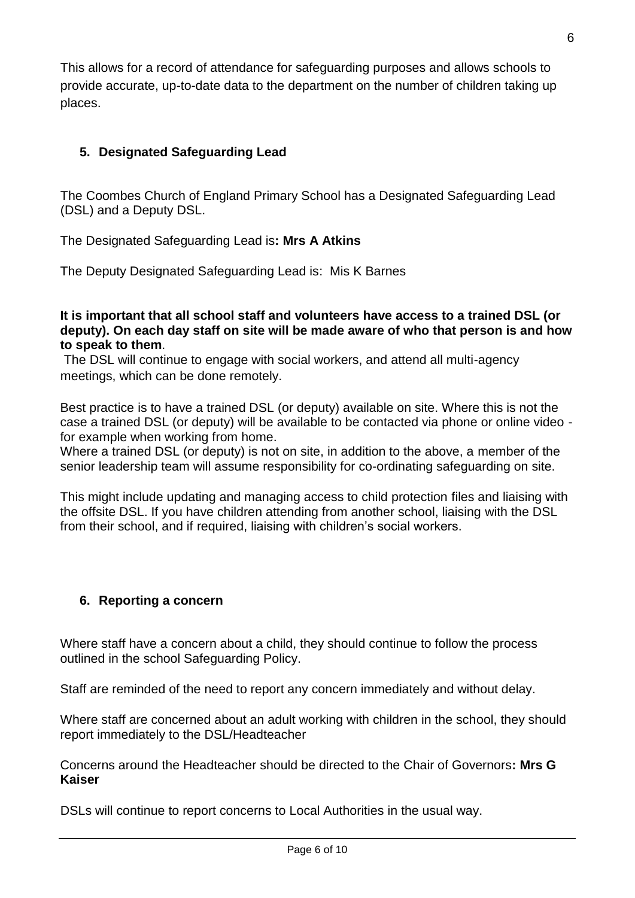This allows for a record of attendance for safeguarding purposes and allows schools to provide accurate, up-to-date data to the department on the number of children taking up places.

# <span id="page-5-0"></span>**5. Designated Safeguarding Lead**

The Coombes Church of England Primary School has a Designated Safeguarding Lead (DSL) and a Deputy DSL.

The Designated Safeguarding Lead is**: Mrs A Atkins**

The Deputy Designated Safeguarding Lead is: Mis K Barnes

**It is important that all school staff and volunteers have access to a trained DSL (or deputy). On each day staff on site will be made aware of who that person is and how to speak to them**.

The DSL will continue to engage with social workers, and attend all multi-agency meetings, which can be done remotely.

Best practice is to have a trained DSL (or deputy) available on site. Where this is not the case a trained DSL (or deputy) will be available to be contacted via phone or online video for example when working from home.

Where a trained DSL (or deputy) is not on site, in addition to the above, a member of the senior leadership team will assume responsibility for co-ordinating safeguarding on site.

This might include updating and managing access to child protection files and liaising with the offsite DSL. If you have children attending from another school, liaising with the DSL from their school, and if required, liaising with children's social workers.

# <span id="page-5-1"></span>**6. Reporting a concern**

Where staff have a concern about a child, they should continue to follow the process outlined in the school Safeguarding Policy.

Staff are reminded of the need to report any concern immediately and without delay.

Where staff are concerned about an adult working with children in the school, they should report immediately to the DSL/Headteacher

Concerns around the Headteacher should be directed to the Chair of Governors**: Mrs G Kaiser**

DSLs will continue to report concerns to Local Authorities in the usual way.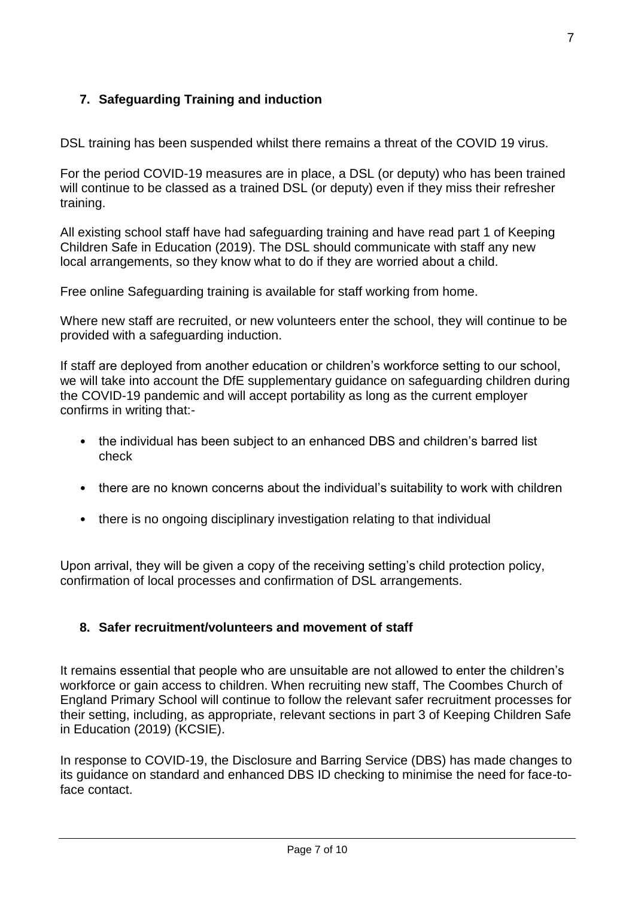# <span id="page-6-0"></span>**7. Safeguarding Training and induction**

DSL training has been suspended whilst there remains a threat of the COVID 19 virus.

For the period COVID-19 measures are in place, a DSL (or deputy) who has been trained will continue to be classed as a trained DSL (or deputy) even if they miss their refresher training.

All existing school staff have had safeguarding training and have read part 1 of Keeping Children Safe in Education (2019). The DSL should communicate with staff any new local arrangements, so they know what to do if they are worried about a child.

Free online Safeguarding training is available for staff working from home.

Where new staff are recruited, or new volunteers enter the school, they will continue to be provided with a safeguarding induction.

If staff are deployed from another education or children's workforce setting to our school, we will take into account the DfE supplementary guidance on safeguarding children during the COVID-19 pandemic and will accept portability as long as the current employer confirms in writing that:-

- the individual has been subject to an enhanced DBS and children's barred list check
- there are no known concerns about the individual's suitability to work with children
- there is no ongoing disciplinary investigation relating to that individual

Upon arrival, they will be given a copy of the receiving setting's child protection policy, confirmation of local processes and confirmation of DSL arrangements.

#### <span id="page-6-1"></span>**8. Safer recruitment/volunteers and movement of staff**

It remains essential that people who are unsuitable are not allowed to enter the children's workforce or gain access to children. When recruiting new staff, The Coombes Church of England Primary School will continue to follow the relevant safer recruitment processes for their setting, including, as appropriate, relevant sections in part 3 of Keeping Children Safe in Education (2019) (KCSIE).

In response to COVID-19, the Disclosure and Barring Service (DBS) has made changes to its guidance on standard and enhanced DBS ID checking to minimise the need for face-toface contact.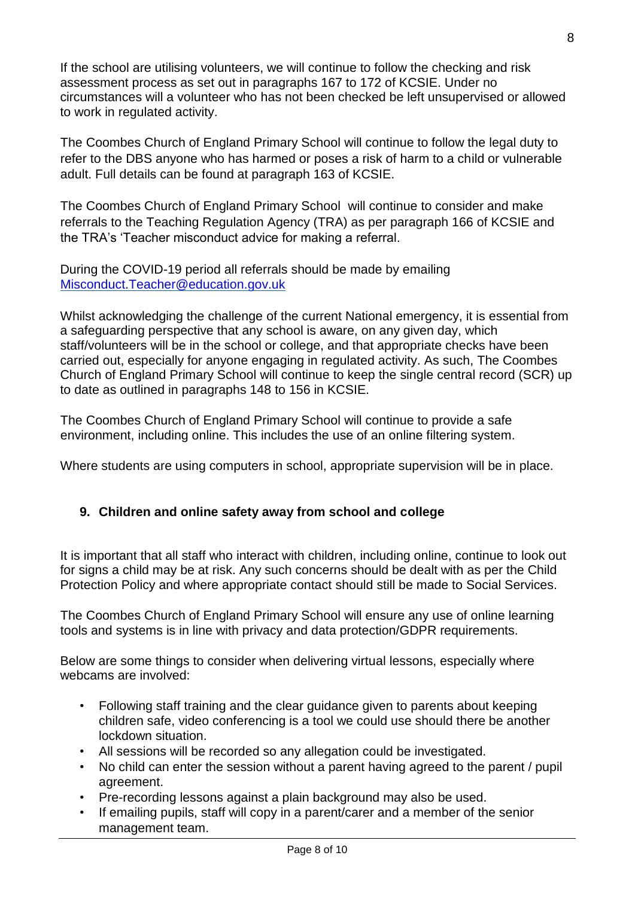If the school are utilising volunteers, we will continue to follow the checking and risk assessment process as set out in paragraphs 167 to 172 of KCSIE. Under no circumstances will a volunteer who has not been checked be left unsupervised or allowed to work in regulated activity.

The Coombes Church of England Primary School will continue to follow the legal duty to refer to the DBS anyone who has harmed or poses a risk of harm to a child or vulnerable adult. Full details can be found at paragraph 163 of KCSIE.

The Coombes Church of England Primary School will continue to consider and make referrals to the Teaching Regulation Agency (TRA) as per paragraph 166 of KCSIE and the TRA's 'Teacher misconduct advice for making a referral.

During the COVID-19 period all referrals should be made by emailing [Misconduct.Teacher@education.gov.uk](mailto:Misconduct.Teacher@education.gov.uk)

Whilst acknowledging the challenge of the current National emergency, it is essential from a safeguarding perspective that any school is aware, on any given day, which staff/volunteers will be in the school or college, and that appropriate checks have been carried out, especially for anyone engaging in regulated activity. As such, The Coombes Church of England Primary School will continue to keep the single central record (SCR) up to date as outlined in paragraphs 148 to 156 in KCSIE.

The Coombes Church of England Primary School will continue to provide a safe environment, including online. This includes the use of an online filtering system.

Where students are using computers in school, appropriate supervision will be in place.

# <span id="page-7-0"></span>**9. Children and online safety away from school and college**

It is important that all staff who interact with children, including online, continue to look out for signs a child may be at risk. Any such concerns should be dealt with as per the Child Protection Policy and where appropriate contact should still be made to Social Services.

The Coombes Church of England Primary School will ensure any use of online learning tools and systems is in line with privacy and data protection/GDPR requirements.

Below are some things to consider when delivering virtual lessons, especially where webcams are involved:

- Following staff training and the clear guidance given to parents about keeping children safe, video conferencing is a tool we could use should there be another lockdown situation.
- All sessions will be recorded so any allegation could be investigated.
- No child can enter the session without a parent having agreed to the parent / pupil agreement.
- Pre-recording lessons against a plain background may also be used.
- If emailing pupils, staff will copy in a parent/carer and a member of the senior management team.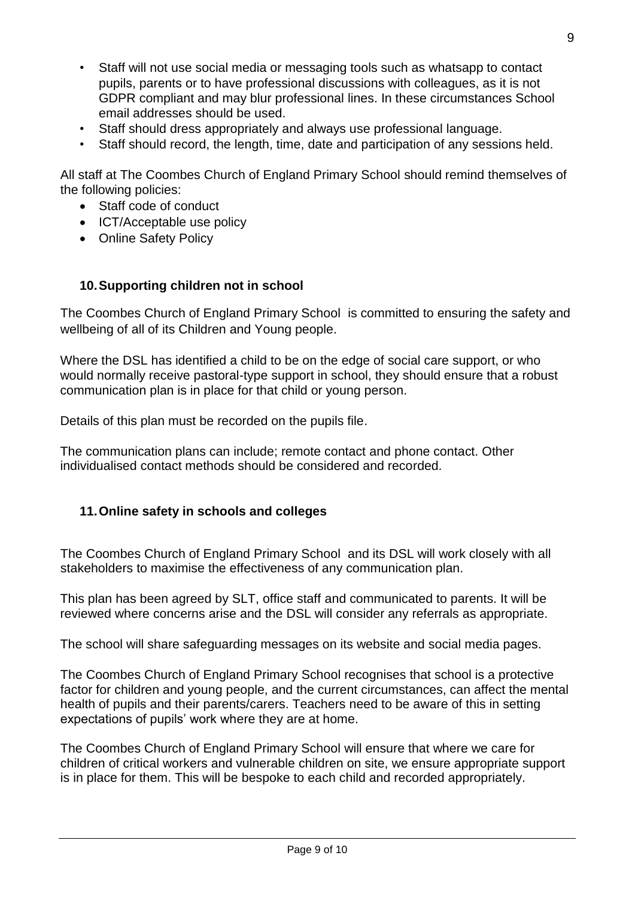- Staff will not use social media or messaging tools such as whatsapp to contact pupils, parents or to have professional discussions with colleagues, as it is not GDPR compliant and may blur professional lines. In these circumstances School email addresses should be used.
- Staff should dress appropriately and always use professional language.
- Staff should record, the length, time, date and participation of any sessions held.

All staff at The Coombes Church of England Primary School should remind themselves of the following policies:

- Staff code of conduct
- ICT/Acceptable use policy
- Online Safety Policy

#### <span id="page-8-1"></span>**10.Supporting children not in school**

The Coombes Church of England Primary School is committed to ensuring the safety and wellbeing of all of its Children and Young people.

Where the DSL has identified a child to be on the edge of social care support, or who would normally receive pastoral-type support in school, they should ensure that a robust communication plan is in place for that child or young person.

Details of this plan must be recorded on the pupils file.

The communication plans can include; remote contact and phone contact. Other individualised contact methods should be considered and recorded.

#### <span id="page-8-0"></span>**11.Online safety in schools and colleges**

The Coombes Church of England Primary School and its DSL will work closely with all stakeholders to maximise the effectiveness of any communication plan.

This plan has been agreed by SLT, office staff and communicated to parents. It will be reviewed where concerns arise and the DSL will consider any referrals as appropriate.

The school will share safeguarding messages on its website and social media pages.

The Coombes Church of England Primary School recognises that school is a protective factor for children and young people, and the current circumstances, can affect the mental health of pupils and their parents/carers. Teachers need to be aware of this in setting expectations of pupils' work where they are at home.

The Coombes Church of England Primary School will ensure that where we care for children of critical workers and vulnerable children on site, we ensure appropriate support is in place for them. This will be bespoke to each child and recorded appropriately.